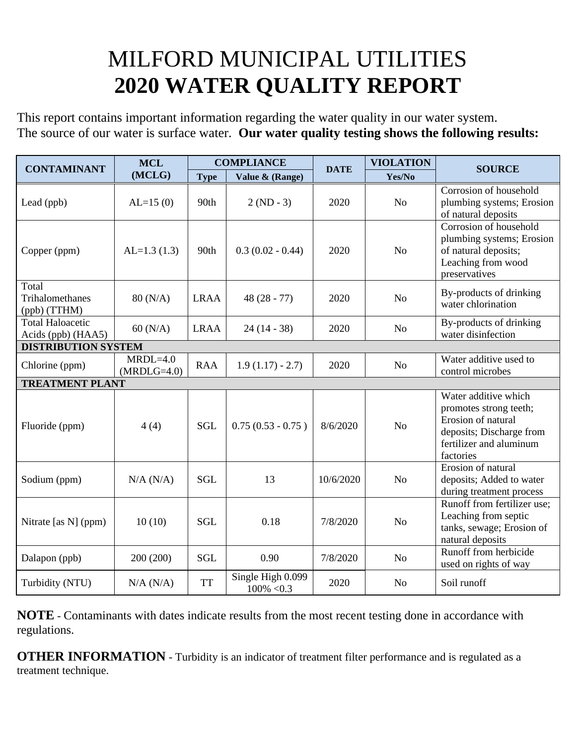## MILFORD MUNICIPAL UTILITIES **2020 WATER QUALITY REPORT**

This report contains important information regarding the water quality in our water system. The source of our water is surface water. **Our water quality testing shows the following results:**

| <b>CONTAMINANT</b>                            | <b>MCL</b><br>(MCLG)        | <b>COMPLIANCE</b> |                                    | <b>DATE</b> | <b>VIOLATION</b> | <b>SOURCE</b>                                                                                                                            |
|-----------------------------------------------|-----------------------------|-------------------|------------------------------------|-------------|------------------|------------------------------------------------------------------------------------------------------------------------------------------|
|                                               |                             | <b>Type</b>       | Value & (Range)                    |             | Yes/No           |                                                                                                                                          |
| Lead (ppb)                                    | $AL=15(0)$                  | 90th              | $2 (ND - 3)$                       | 2020        | N <sub>o</sub>   | Corrosion of household<br>plumbing systems; Erosion<br>of natural deposits                                                               |
| Copper (ppm)                                  | $AL=1.3(1.3)$               | 90th              | $0.3(0.02 - 0.44)$                 | 2020        | N <sub>o</sub>   | Corrosion of household<br>plumbing systems; Erosion<br>of natural deposits;<br>Leaching from wood<br>preservatives                       |
| Total<br>Trihalomethanes<br>(ppb) (TTHM)      | 80 (N/A)                    | <b>LRAA</b>       | $48(28 - 77)$                      | 2020        | N <sub>o</sub>   | By-products of drinking<br>water chlorination                                                                                            |
| <b>Total Haloacetic</b><br>Acids (ppb) (HAA5) | $60$ (N/A)                  | <b>LRAA</b>       | $24(14-38)$                        | 2020        | N <sub>o</sub>   | By-products of drinking<br>water disinfection                                                                                            |
| <b>DISTRIBUTION SYSTEM</b>                    |                             |                   |                                    |             |                  |                                                                                                                                          |
| Chlorine (ppm)                                | $MRDL=4.0$<br>$(MRDLG=4.0)$ | <b>RAA</b>        | $1.9(1.17) - 2.7$                  | 2020        | N <sub>o</sub>   | Water additive used to<br>control microbes                                                                                               |
| <b>TREATMENT PLANT</b>                        |                             |                   |                                    |             |                  |                                                                                                                                          |
| Fluoride (ppm)                                | 4(4)                        | <b>SGL</b>        | $0.75(0.53 - 0.75)$                | 8/6/2020    | No               | Water additive which<br>promotes strong teeth;<br>Erosion of natural<br>deposits; Discharge from<br>fertilizer and aluminum<br>factories |
| Sodium (ppm)                                  | $N/A$ $(N/A)$               | <b>SGL</b>        | 13                                 | 10/6/2020   | N <sub>o</sub>   | Erosion of natural<br>deposits; Added to water<br>during treatment process                                                               |
| Nitrate [as N] (ppm)                          | 10(10)                      | <b>SGL</b>        | 0.18                               | 7/8/2020    | N <sub>o</sub>   | Runoff from fertilizer use;<br>Leaching from septic<br>tanks, sewage; Erosion of<br>natural deposits                                     |
| Dalapon (ppb)                                 | 200 (200)                   | <b>SGL</b>        | 0.90                               | 7/8/2020    | N <sub>o</sub>   | Runoff from herbicide<br>used on rights of way                                                                                           |
| Turbidity (NTU)                               | N/A (N/A)                   | <b>TT</b>         | Single High 0.099<br>$100\% < 0.3$ | 2020        | No               | Soil runoff                                                                                                                              |

**NOTE** - Contaminants with dates indicate results from the most recent testing done in accordance with regulations.

**OTHER INFORMATION** - Turbidity is an indicator of treatment filter performance and is regulated as a treatment technique.